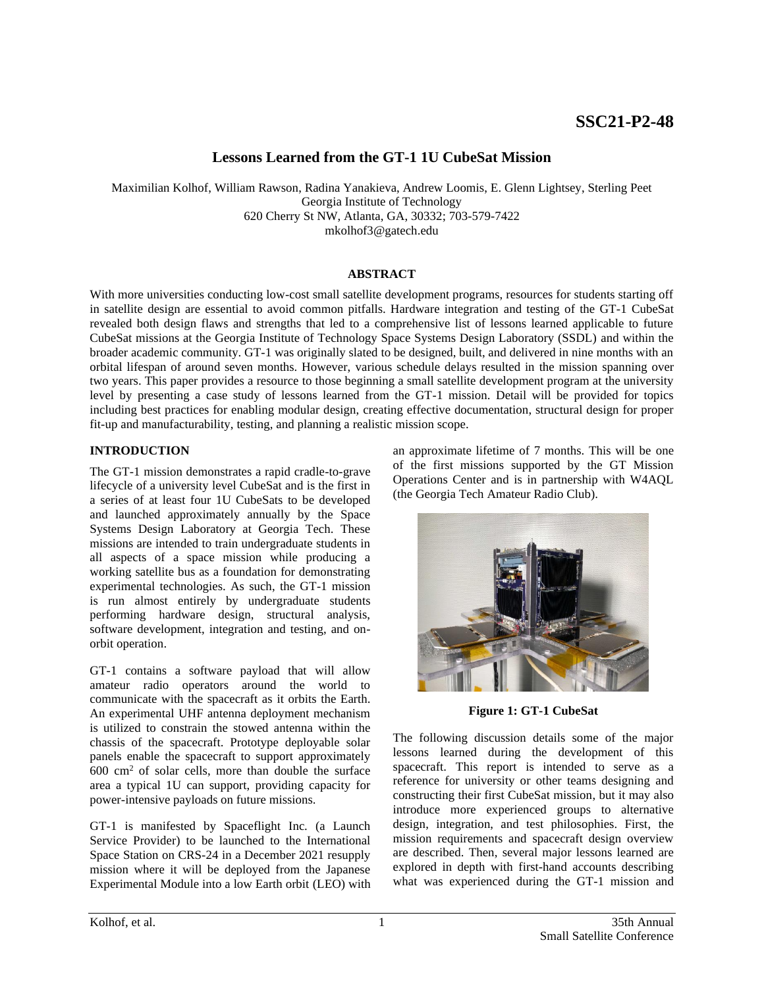# **Lessons Learned from the GT-1 1U CubeSat Mission**

Maximilian Kolhof, William Rawson, Radina Yanakieva, Andrew Loomis, E. Glenn Lightsey, Sterling Peet Georgia Institute of Technology 620 Cherry St NW, Atlanta, GA, 30332; 703-579-7422 mkolhof3@gatech.edu

# **ABSTRACT**

With more universities conducting low-cost small satellite development programs, resources for students starting off in satellite design are essential to avoid common pitfalls. Hardware integration and testing of the GT-1 CubeSat revealed both design flaws and strengths that led to a comprehensive list of lessons learned applicable to future CubeSat missions at the Georgia Institute of Technology Space Systems Design Laboratory (SSDL) and within the broader academic community. GT-1 was originally slated to be designed, built, and delivered in nine months with an orbital lifespan of around seven months. However, various schedule delays resulted in the mission spanning over two years. This paper provides a resource to those beginning a small satellite development program at the university level by presenting a case study of lessons learned from the GT-1 mission. Detail will be provided for topics including best practices for enabling modular design, creating effective documentation, structural design for proper fit-up and manufacturability, testing, and planning a realistic mission scope.

### **INTRODUCTION**

The GT-1 mission demonstrates a rapid cradle-to-grave lifecycle of a university level CubeSat and is the first in a series of at least four 1U CubeSats to be developed and launched approximately annually by the Space Systems Design Laboratory at Georgia Tech. These missions are intended to train undergraduate students in all aspects of a space mission while producing a working satellite bus as a foundation for demonstrating experimental technologies. As such, the GT-1 mission is run almost entirely by undergraduate students performing hardware design, structural analysis, software development, integration and testing, and onorbit operation.

GT-1 contains a software payload that will allow amateur radio operators around the world to communicate with the spacecraft as it orbits the Earth. An experimental UHF antenna deployment mechanism is utilized to constrain the stowed antenna within the chassis of the spacecraft. Prototype deployable solar panels enable the spacecraft to support approximately  $600 \text{ cm}^2$  of solar cells, more than double the surface area a typical 1U can support, providing capacity for power-intensive payloads on future missions.

GT-1 is manifested by Spaceflight Inc. (a Launch Service Provider) to be launched to the International Space Station on CRS-24 in a December 2021 resupply mission where it will be deployed from the Japanese Experimental Module into a low Earth orbit (LEO) with

an approximate lifetime of 7 months. This will be one of the first missions supported by the GT Mission Operations Center and is in partnership with W4AQL (the Georgia Tech Amateur Radio Club).



**Figure 1: GT-1 CubeSat**

The following discussion details some of the major lessons learned during the development of this spacecraft. This report is intended to serve as a reference for university or other teams designing and constructing their first CubeSat mission, but it may also introduce more experienced groups to alternative design, integration, and test philosophies. First, the mission requirements and spacecraft design overview are described. Then, several major lessons learned are explored in depth with first-hand accounts describing what was experienced during the GT-1 mission and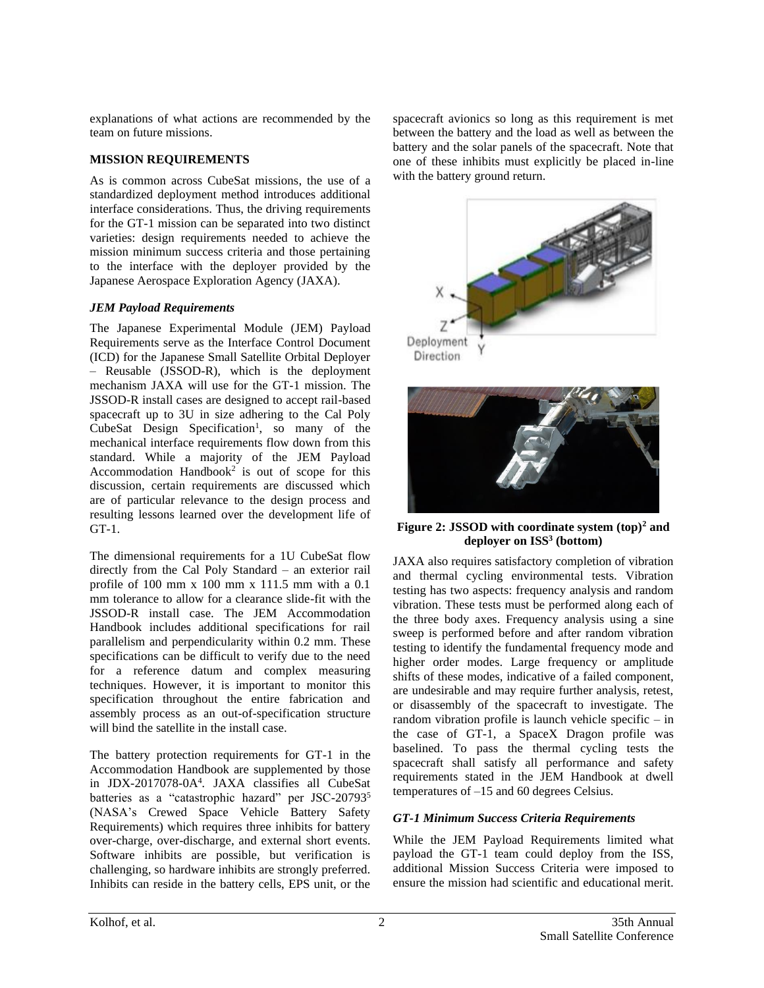explanations of what actions are recommended by the team on future missions.

### **MISSION REQUIREMENTS**

As is common across CubeSat missions, the use of a standardized deployment method introduces additional interface considerations. Thus, the driving requirements for the GT-1 mission can be separated into two distinct varieties: design requirements needed to achieve the mission minimum success criteria and those pertaining to the interface with the deployer provided by the Japanese Aerospace Exploration Agency (JAXA).

### *JEM Payload Requirements*

The Japanese Experimental Module (JEM) Payload Requirements serve as the Interface Control Document (ICD) for the Japanese Small Satellite Orbital Deployer – Reusable (JSSOD-R), which is the deployment mechanism JAXA will use for the GT-1 mission. The JSSOD-R install cases are designed to accept rail-based spacecraft up to 3U in size adhering to the Cal Poly CubeSat Design Specification<sup>1</sup>, so many of the mechanical interface requirements flow down from this standard. While a majority of the JEM Payload Accommodation Handbook<sup>2</sup> is out of scope for this discussion, certain requirements are discussed which are of particular relevance to the design process and resulting lessons learned over the development life of GT-1.

The dimensional requirements for a 1U CubeSat flow directly from the Cal Poly Standard – an exterior rail profile of 100 mm x 100 mm x 111.5 mm with a 0.1 mm tolerance to allow for a clearance slide-fit with the JSSOD-R install case. The JEM Accommodation Handbook includes additional specifications for rail parallelism and perpendicularity within 0.2 mm. These specifications can be difficult to verify due to the need for a reference datum and complex measuring techniques. However, it is important to monitor this specification throughout the entire fabrication and assembly process as an out-of-specification structure will bind the satellite in the install case.

The battery protection requirements for GT-1 in the Accommodation Handbook are supplemented by those in JDX-2017078-0A<sup>4</sup> *.* JAXA classifies all CubeSat batteries as a "catastrophic hazard" per JSC-20793<sup>5</sup> (NASA's Crewed Space Vehicle Battery Safety Requirements) which requires three inhibits for battery over-charge, over-discharge, and external short events. Software inhibits are possible, but verification is challenging, so hardware inhibits are strongly preferred. Inhibits can reside in the battery cells, EPS unit, or the

spacecraft avionics so long as this requirement is met between the battery and the load as well as between the battery and the solar panels of the spacecraft. Note that one of these inhibits must explicitly be placed in-line with the battery ground return.





**Figure 2: JSSOD with coordinate system (top)<sup>2</sup> and deployer on ISS<sup>3</sup> (bottom)**

JAXA also requires satisfactory completion of vibration and thermal cycling environmental tests. Vibration testing has two aspects: frequency analysis and random vibration. These tests must be performed along each of the three body axes. Frequency analysis using a sine sweep is performed before and after random vibration testing to identify the fundamental frequency mode and higher order modes. Large frequency or amplitude shifts of these modes, indicative of a failed component, are undesirable and may require further analysis, retest, or disassembly of the spacecraft to investigate. The random vibration profile is launch vehicle specific – in the case of GT-1, a SpaceX Dragon profile was baselined. To pass the thermal cycling tests the spacecraft shall satisfy all performance and safety requirements stated in the JEM Handbook at dwell temperatures of –15 and 60 degrees Celsius.

# *GT-1 Minimum Success Criteria Requirements*

While the JEM Payload Requirements limited what payload the GT-1 team could deploy from the ISS, additional Mission Success Criteria were imposed to ensure the mission had scientific and educational merit.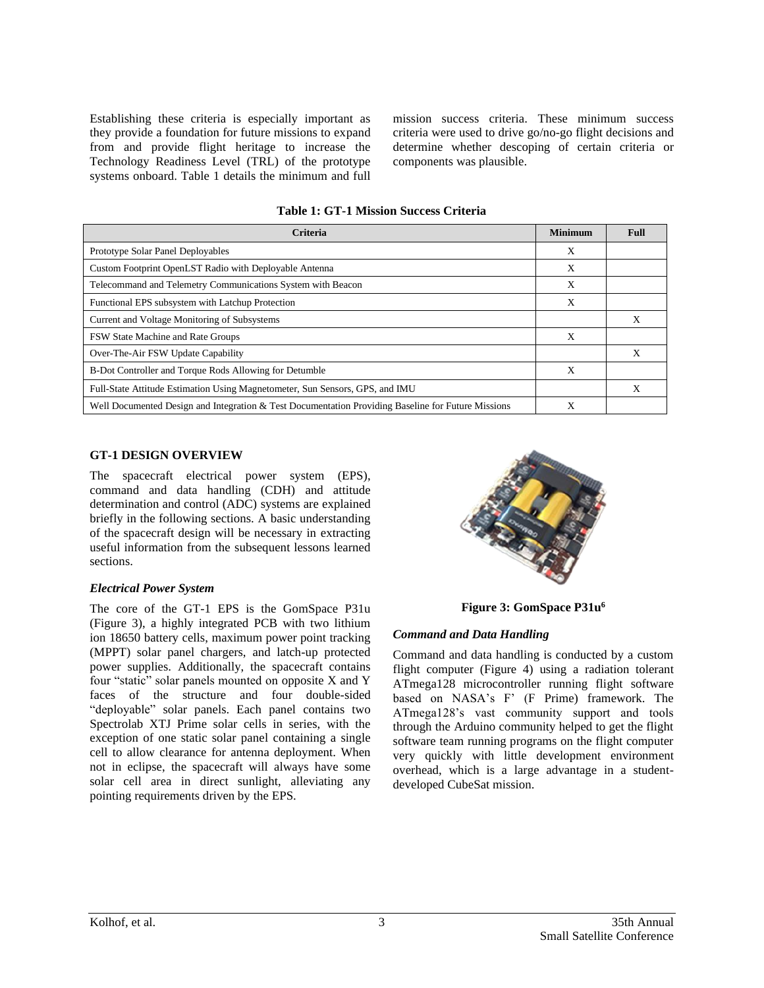Establishing these criteria is especially important as they provide a foundation for future missions to expand from and provide flight heritage to increase the Technology Readiness Level (TRL) of the prototype systems onboard. Table 1 details the minimum and full mission success criteria. These minimum success criteria were used to drive go/no-go flight decisions and determine whether descoping of certain criteria or components was plausible.

| Criteria                                                                                           |   | <b>Full</b> |
|----------------------------------------------------------------------------------------------------|---|-------------|
| Prototype Solar Panel Deployables                                                                  | X |             |
| Custom Footprint OpenLST Radio with Deployable Antenna                                             | X |             |
| Telecommand and Telemetry Communications System with Beacon                                        | X |             |
| Functional EPS subsystem with Latchup Protection                                                   | X |             |
| Current and Voltage Monitoring of Subsystems                                                       |   | X           |
| FSW State Machine and Rate Groups                                                                  | X |             |
| Over-The-Air FSW Update Capability                                                                 |   | Х           |
| B-Dot Controller and Torque Rods Allowing for Detumble                                             | X |             |
| Full-State Attitude Estimation Using Magnetometer, Sun Sensors, GPS, and IMU                       |   |             |
| Well Documented Design and Integration & Test Documentation Providing Baseline for Future Missions | Х |             |

#### **GT-1 DESIGN OVERVIEW**

The spacecraft electrical power system (EPS), command and data handling (CDH) and attitude determination and control (ADC) systems are explained briefly in the following sections. A basic understanding of the spacecraft design will be necessary in extracting useful information from the subsequent lessons learned sections.

### *Electrical Power System*

The core of the GT-1 EPS is the GomSpace P31u (Figure 3), a highly integrated PCB with two lithium ion 18650 battery cells, maximum power point tracking (MPPT) solar panel chargers, and latch-up protected power supplies. Additionally, the spacecraft contains four "static" solar panels mounted on opposite X and Y faces of the structure and four double-sided "deployable" solar panels. Each panel contains two Spectrolab XTJ Prime solar cells in series, with the exception of one static solar panel containing a single cell to allow clearance for antenna deployment. When not in eclipse, the spacecraft will always have some solar cell area in direct sunlight, alleviating any pointing requirements driven by the EPS.



**Figure 3: GomSpace P31u<sup>6</sup>**

### *Command and Data Handling*

Command and data handling is conducted by a custom flight computer (Figure 4) using a radiation tolerant ATmega128 microcontroller running flight software based on NASA's F' (F Prime) framework. The ATmega128's vast community support and tools through the Arduino community helped to get the flight software team running programs on the flight computer very quickly with little development environment overhead, which is a large advantage in a studentdeveloped CubeSat mission.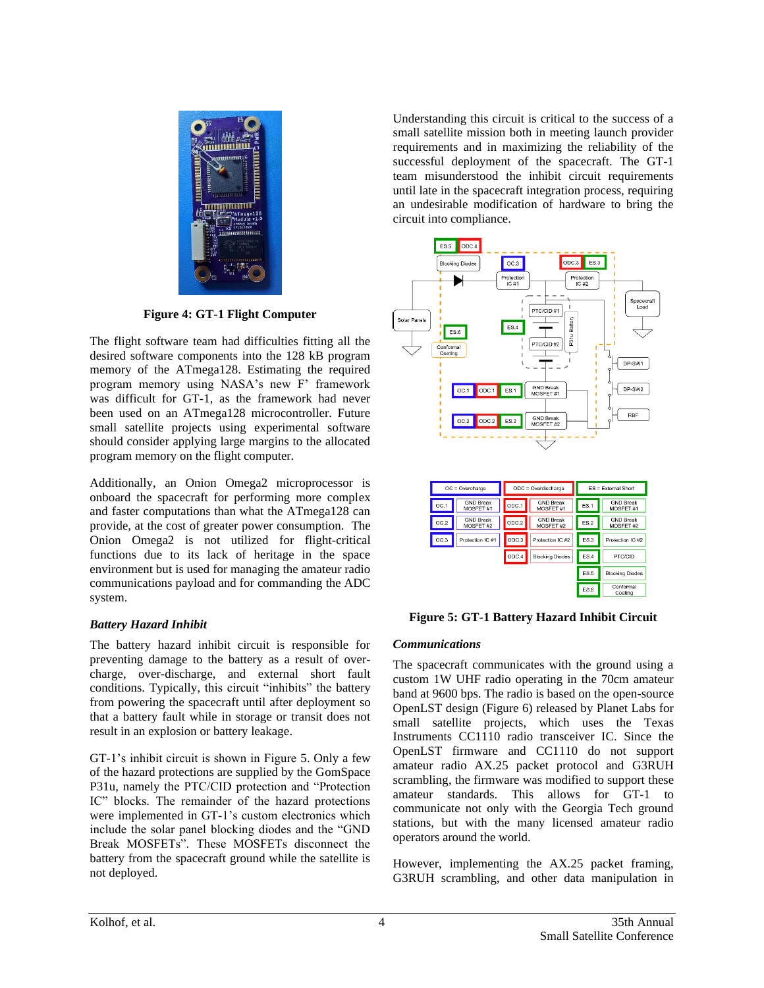

**Figure 4: GT-1 Flight Computer**

The flight software team had difficulties fitting all the desired software components into the 128 kB program memory of the ATmega128. Estimating the required program memory using NASA's new F' framework was difficult for GT-1, as the framework had never been used on an ATmega128 microcontroller. Future small satellite projects using experimental software should consider applying large margins to the allocated program memory on the flight computer.

Additionally, an Onion Omega2 microprocessor is onboard the spacecraft for performing more complex and faster computations than what the ATmega128 can provide, at the cost of greater power consumption. The Onion Omega2 is not utilized for flight-critical functions due to its lack of heritage in the space environment but is used for managing the amateur radio communications payload and for commanding the ADC system.

# *Battery Hazard Inhibit*

The battery hazard inhibit circuit is responsible for preventing damage to the battery as a result of overcharge, over-discharge, and external short fault conditions. Typically, this circuit "inhibits" the battery from powering the spacecraft until after deployment so that a battery fault while in storage or transit does not result in an explosion or battery leakage.

GT-1's inhibit circuit is shown in Figure 5. Only a few of the hazard protections are supplied by the GomSpace P31u, namely the PTC/CID protection and "Protection IC" blocks. The remainder of the hazard protections were implemented in GT-1's custom electronics which include the solar panel blocking diodes and the "GND Break MOSFETs". These MOSFETs disconnect the battery from the spacecraft ground while the satellite is not deployed.

Understanding this circuit is critical to the success of a small satellite mission both in meeting launch provider requirements and in maximizing the reliability of the successful deployment of the spacecraft. The GT-1 team misunderstood the inhibit circuit requirements until late in the spacecraft integration process, requiring an undesirable modification of hardware to bring the circuit into compliance.



**Figure 5: GT-1 Battery Hazard Inhibit Circuit**

 $ES.5$ 

 $ES.6$ 

**Blocking Diodes** Conformal<br>Coating

# *Communications*

The spacecraft communicates with the ground using a custom 1W UHF radio operating in the 70cm amateur band at 9600 bps. The radio is based on the open-source OpenLST design (Figure 6) released by Planet Labs for small satellite projects, which uses the Texas Instruments CC1110 radio transceiver IC. Since the OpenLST firmware and CC1110 do not support amateur radio AX.25 packet protocol and G3RUH scrambling, the firmware was modified to support these amateur standards. This allows for GT-1 to communicate not only with the Georgia Tech ground stations, but with the many licensed amateur radio operators around the world.

However, implementing the AX.25 packet framing, G3RUH scrambling, and other data manipulation in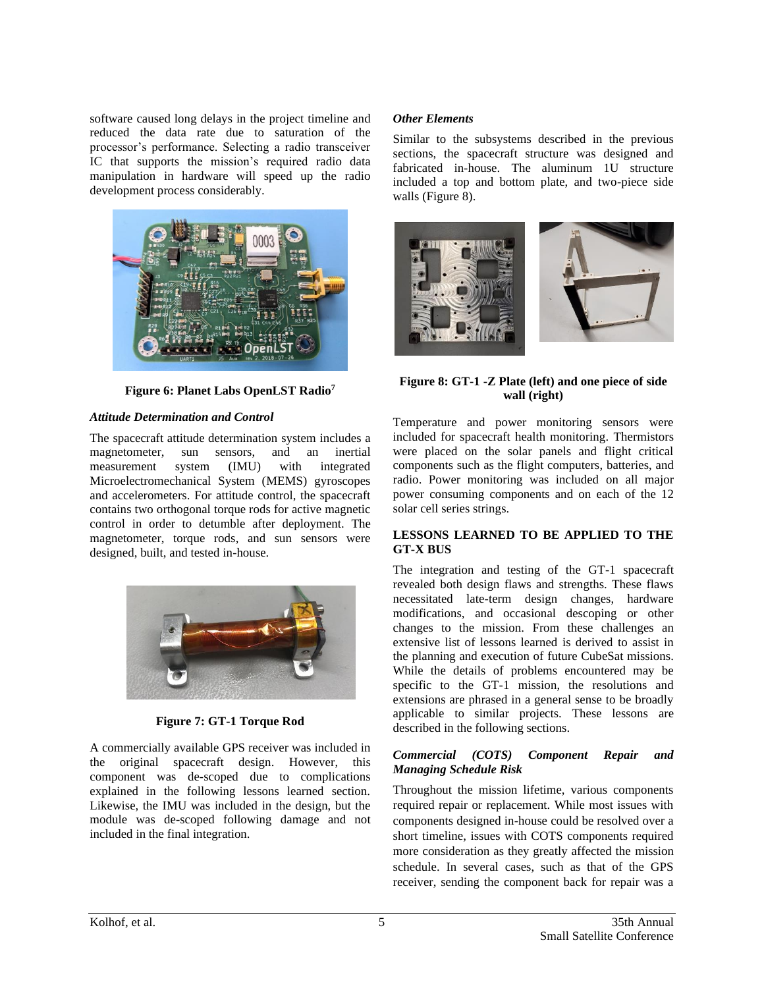software caused long delays in the project timeline and reduced the data rate due to saturation of the processor's performance. Selecting a radio transceiver IC that supports the mission's required radio data manipulation in hardware will speed up the radio development process considerably.



**Figure 6: Planet Labs OpenLST Radio<sup>7</sup>**

### *Attitude Determination and Control*

The spacecraft attitude determination system includes a magnetometer, sun sensors, and an inertial measurement system (IMU) with integrated Microelectromechanical System (MEMS) gyroscopes and accelerometers. For attitude control, the spacecraft contains two orthogonal torque rods for active magnetic control in order to detumble after deployment. The magnetometer, torque rods, and sun sensors were designed, built, and tested in-house.



# **Figure 7: GT-1 Torque Rod**

A commercially available GPS receiver was included in the original spacecraft design. However, this component was de-scoped due to complications explained in the following lessons learned section. Likewise, the IMU was included in the design, but the module was de-scoped following damage and not included in the final integration.

### *Other Elements*

Similar to the subsystems described in the previous sections, the spacecraft structure was designed and fabricated in-house. The aluminum 1U structure included a top and bottom plate, and two-piece side walls (Figure 8).



# **Figure 8: GT-1 -Z Plate (left) and one piece of side wall (right)**

Temperature and power monitoring sensors were included for spacecraft health monitoring. Thermistors were placed on the solar panels and flight critical components such as the flight computers, batteries, and radio. Power monitoring was included on all major power consuming components and on each of the 12 solar cell series strings.

### **LESSONS LEARNED TO BE APPLIED TO THE GT-X BUS**

The integration and testing of the GT-1 spacecraft revealed both design flaws and strengths. These flaws necessitated late-term design changes, hardware modifications, and occasional descoping or other changes to the mission. From these challenges an extensive list of lessons learned is derived to assist in the planning and execution of future CubeSat missions. While the details of problems encountered may be specific to the GT-1 mission, the resolutions and extensions are phrased in a general sense to be broadly applicable to similar projects. These lessons are described in the following sections.

### *Commercial (COTS) Component Repair and Managing Schedule Risk*

Throughout the mission lifetime, various components required repair or replacement. While most issues with components designed in-house could be resolved over a short timeline, issues with COTS components required more consideration as they greatly affected the mission schedule. In several cases, such as that of the GPS receiver, sending the component back for repair was a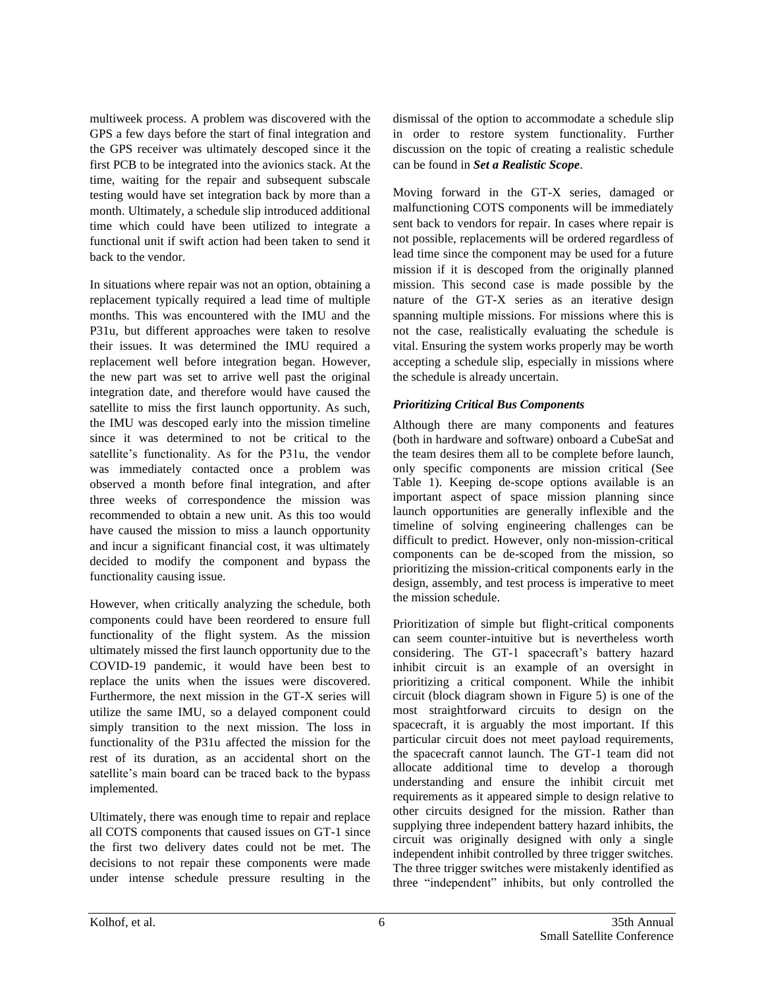multiweek process. A problem was discovered with the GPS a few days before the start of final integration and the GPS receiver was ultimately descoped since it the first PCB to be integrated into the avionics stack. At the time, waiting for the repair and subsequent subscale testing would have set integration back by more than a month. Ultimately, a schedule slip introduced additional time which could have been utilized to integrate a functional unit if swift action had been taken to send it back to the vendor.

In situations where repair was not an option, obtaining a replacement typically required a lead time of multiple months. This was encountered with the IMU and the P31u, but different approaches were taken to resolve their issues. It was determined the IMU required a replacement well before integration began. However, the new part was set to arrive well past the original integration date, and therefore would have caused the satellite to miss the first launch opportunity. As such, the IMU was descoped early into the mission timeline since it was determined to not be critical to the satellite's functionality. As for the P31u, the vendor was immediately contacted once a problem was observed a month before final integration, and after three weeks of correspondence the mission was recommended to obtain a new unit. As this too would have caused the mission to miss a launch opportunity and incur a significant financial cost, it was ultimately decided to modify the component and bypass the functionality causing issue.

However, when critically analyzing the schedule, both components could have been reordered to ensure full functionality of the flight system. As the mission ultimately missed the first launch opportunity due to the COVID-19 pandemic, it would have been best to replace the units when the issues were discovered. Furthermore, the next mission in the GT-X series will utilize the same IMU, so a delayed component could simply transition to the next mission. The loss in functionality of the P31u affected the mission for the rest of its duration, as an accidental short on the satellite's main board can be traced back to the bypass implemented.

Ultimately, there was enough time to repair and replace all COTS components that caused issues on GT-1 since the first two delivery dates could not be met. The decisions to not repair these components were made under intense schedule pressure resulting in the

dismissal of the option to accommodate a schedule slip in order to restore system functionality. Further discussion on the topic of creating a realistic schedule can be found in *Set a Realistic Scope*.

Moving forward in the GT-X series, damaged or malfunctioning COTS components will be immediately sent back to vendors for repair. In cases where repair is not possible, replacements will be ordered regardless of lead time since the component may be used for a future mission if it is descoped from the originally planned mission. This second case is made possible by the nature of the GT-X series as an iterative design spanning multiple missions. For missions where this is not the case, realistically evaluating the schedule is vital. Ensuring the system works properly may be worth accepting a schedule slip, especially in missions where the schedule is already uncertain.

# *Prioritizing Critical Bus Components*

Although there are many components and features (both in hardware and software) onboard a CubeSat and the team desires them all to be complete before launch, only specific components are mission critical (See Table 1). Keeping de-scope options available is an important aspect of space mission planning since launch opportunities are generally inflexible and the timeline of solving engineering challenges can be difficult to predict. However, only non-mission-critical components can be de-scoped from the mission, so prioritizing the mission-critical components early in the design, assembly, and test process is imperative to meet the mission schedule.

Prioritization of simple but flight-critical components can seem counter-intuitive but is nevertheless worth considering. The GT-1 spacecraft's battery hazard inhibit circuit is an example of an oversight in prioritizing a critical component. While the inhibit circuit (block diagram shown in Figure 5) is one of the most straightforward circuits to design on the spacecraft, it is arguably the most important. If this particular circuit does not meet payload requirements, the spacecraft cannot launch. The GT-1 team did not allocate additional time to develop a thorough understanding and ensure the inhibit circuit met requirements as it appeared simple to design relative to other circuits designed for the mission. Rather than supplying three independent battery hazard inhibits, the circuit was originally designed with only a single independent inhibit controlled by three trigger switches. The three trigger switches were mistakenly identified as three "independent" inhibits, but only controlled the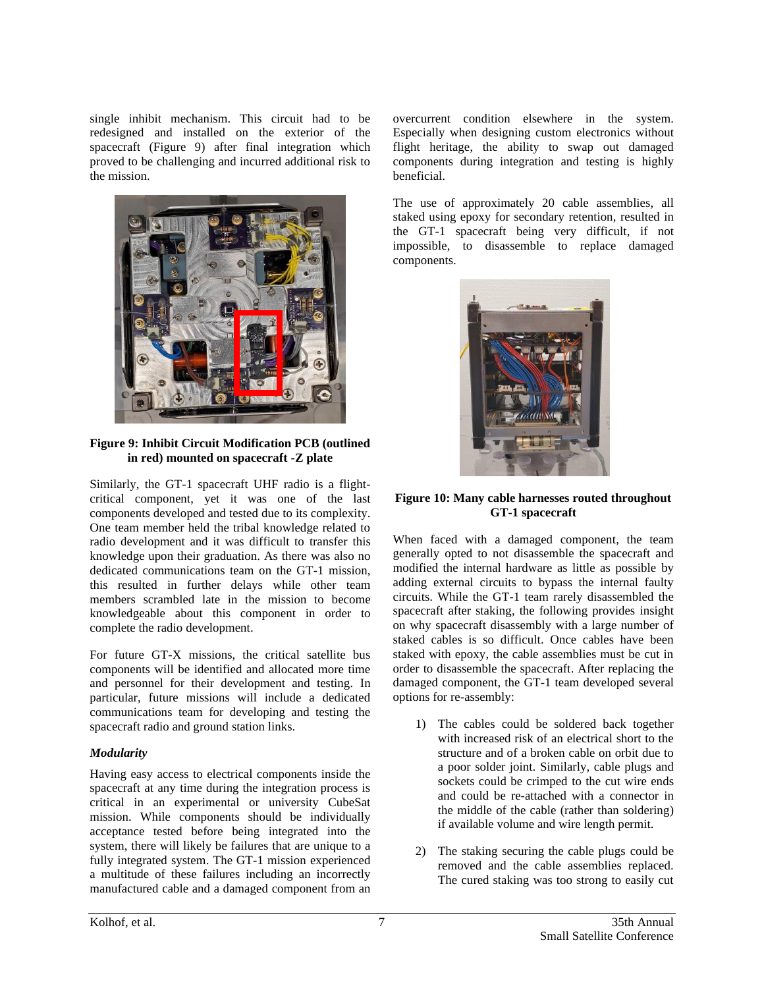single inhibit mechanism. This circuit had to be redesigned and installed on the exterior of the spacecraft (Figure 9) after final integration which proved to be challenging and incurred additional risk to the mission.



**Figure 9: Inhibit Circuit Modification PCB (outlined in red) mounted on spacecraft -Z plate**

Similarly, the GT-1 spacecraft UHF radio is a flightcritical component, yet it was one of the last components developed and tested due to its complexity. One team member held the tribal knowledge related to radio development and it was difficult to transfer this knowledge upon their graduation. As there was also no dedicated communications team on the GT-1 mission, this resulted in further delays while other team members scrambled late in the mission to become knowledgeable about this component in order to complete the radio development.

For future GT-X missions, the critical satellite bus components will be identified and allocated more time and personnel for their development and testing. In particular, future missions will include a dedicated communications team for developing and testing the spacecraft radio and ground station links.

# *Modularity*

Having easy access to electrical components inside the spacecraft at any time during the integration process is critical in an experimental or university CubeSat mission. While components should be individually acceptance tested before being integrated into the system, there will likely be failures that are unique to a fully integrated system. The GT-1 mission experienced a multitude of these failures including an incorrectly manufactured cable and a damaged component from an overcurrent condition elsewhere in the system. Especially when designing custom electronics without flight heritage, the ability to swap out damaged components during integration and testing is highly beneficial.

The use of approximately 20 cable assemblies, all staked using epoxy for secondary retention, resulted in the GT-1 spacecraft being very difficult, if not impossible, to disassemble to replace damaged components.



# **Figure 10: Many cable harnesses routed throughout GT-1 spacecraft**

When faced with a damaged component, the team generally opted to not disassemble the spacecraft and modified the internal hardware as little as possible by adding external circuits to bypass the internal faulty circuits. While the GT-1 team rarely disassembled the spacecraft after staking, the following provides insight on why spacecraft disassembly with a large number of staked cables is so difficult. Once cables have been staked with epoxy, the cable assemblies must be cut in order to disassemble the spacecraft. After replacing the damaged component, the GT-1 team developed several options for re-assembly:

- 1) The cables could be soldered back together with increased risk of an electrical short to the structure and of a broken cable on orbit due to a poor solder joint. Similarly, cable plugs and sockets could be crimped to the cut wire ends and could be re-attached with a connector in the middle of the cable (rather than soldering) if available volume and wire length permit.
- 2) The staking securing the cable plugs could be removed and the cable assemblies replaced. The cured staking was too strong to easily cut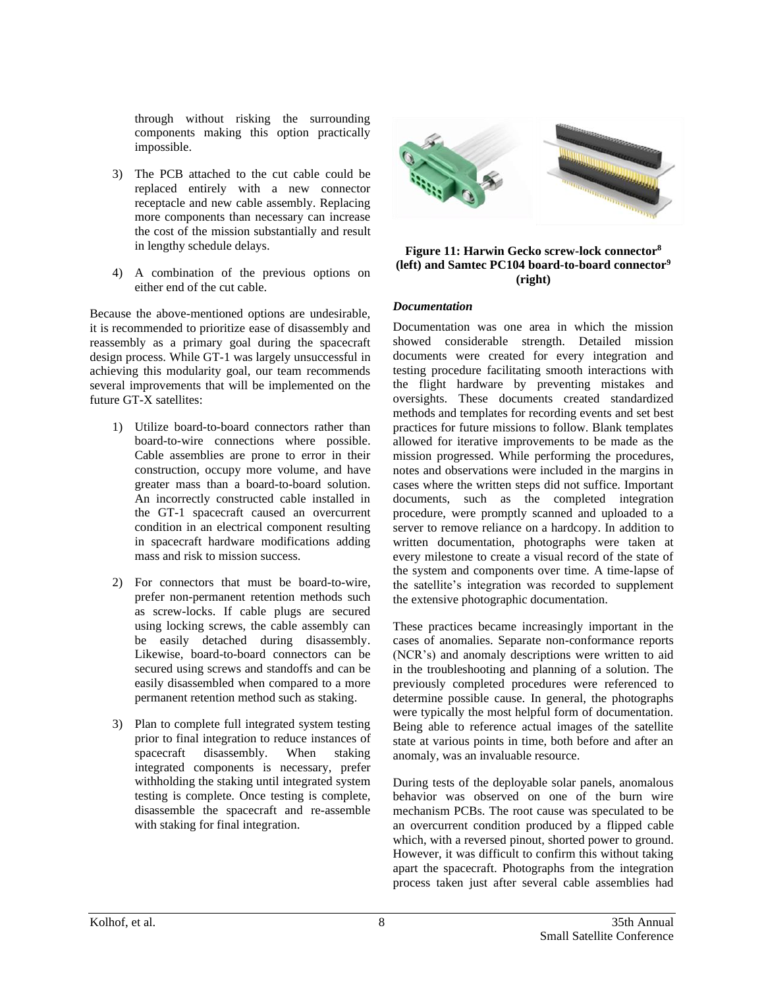through without risking the surrounding components making this option practically impossible.

- 3) The PCB attached to the cut cable could be replaced entirely with a new connector receptacle and new cable assembly. Replacing more components than necessary can increase the cost of the mission substantially and result in lengthy schedule delays.
- 4) A combination of the previous options on either end of the cut cable.

Because the above-mentioned options are undesirable, it is recommended to prioritize ease of disassembly and reassembly as a primary goal during the spacecraft design process. While GT-1 was largely unsuccessful in achieving this modularity goal, our team recommends several improvements that will be implemented on the future GT-X satellites:

- 1) Utilize board-to-board connectors rather than board-to-wire connections where possible. Cable assemblies are prone to error in their construction, occupy more volume, and have greater mass than a board-to-board solution. An incorrectly constructed cable installed in the GT-1 spacecraft caused an overcurrent condition in an electrical component resulting in spacecraft hardware modifications adding mass and risk to mission success.
- 2) For connectors that must be board-to-wire, prefer non-permanent retention methods such as screw-locks. If cable plugs are secured using locking screws, the cable assembly can be easily detached during disassembly. Likewise, board-to-board connectors can be secured using screws and standoffs and can be easily disassembled when compared to a more permanent retention method such as staking.
- 3) Plan to complete full integrated system testing prior to final integration to reduce instances of spacecraft disassembly. When staking integrated components is necessary, prefer withholding the staking until integrated system testing is complete. Once testing is complete, disassemble the spacecraft and re-assemble with staking for final integration.



#### **Figure 11: Harwin Gecko screw-lock connector<sup>8</sup> (left) and Samtec PC104 board-to-board connector<sup>9</sup> (right)**

### *Documentation*

Documentation was one area in which the mission showed considerable strength. Detailed mission documents were created for every integration and testing procedure facilitating smooth interactions with the flight hardware by preventing mistakes and oversights. These documents created standardized methods and templates for recording events and set best practices for future missions to follow. Blank templates allowed for iterative improvements to be made as the mission progressed. While performing the procedures, notes and observations were included in the margins in cases where the written steps did not suffice. Important documents, such as the completed integration procedure, were promptly scanned and uploaded to a server to remove reliance on a hardcopy. In addition to written documentation, photographs were taken at every milestone to create a visual record of the state of the system and components over time. A time-lapse of the satellite's integration was recorded to supplement the extensive photographic documentation.

These practices became increasingly important in the cases of anomalies. Separate non-conformance reports (NCR's) and anomaly descriptions were written to aid in the troubleshooting and planning of a solution. The previously completed procedures were referenced to determine possible cause. In general, the photographs were typically the most helpful form of documentation. Being able to reference actual images of the satellite state at various points in time, both before and after an anomaly, was an invaluable resource.

During tests of the deployable solar panels, anomalous behavior was observed on one of the burn wire mechanism PCBs. The root cause was speculated to be an overcurrent condition produced by a flipped cable which, with a reversed pinout, shorted power to ground. However, it was difficult to confirm this without taking apart the spacecraft. Photographs from the integration process taken just after several cable assemblies had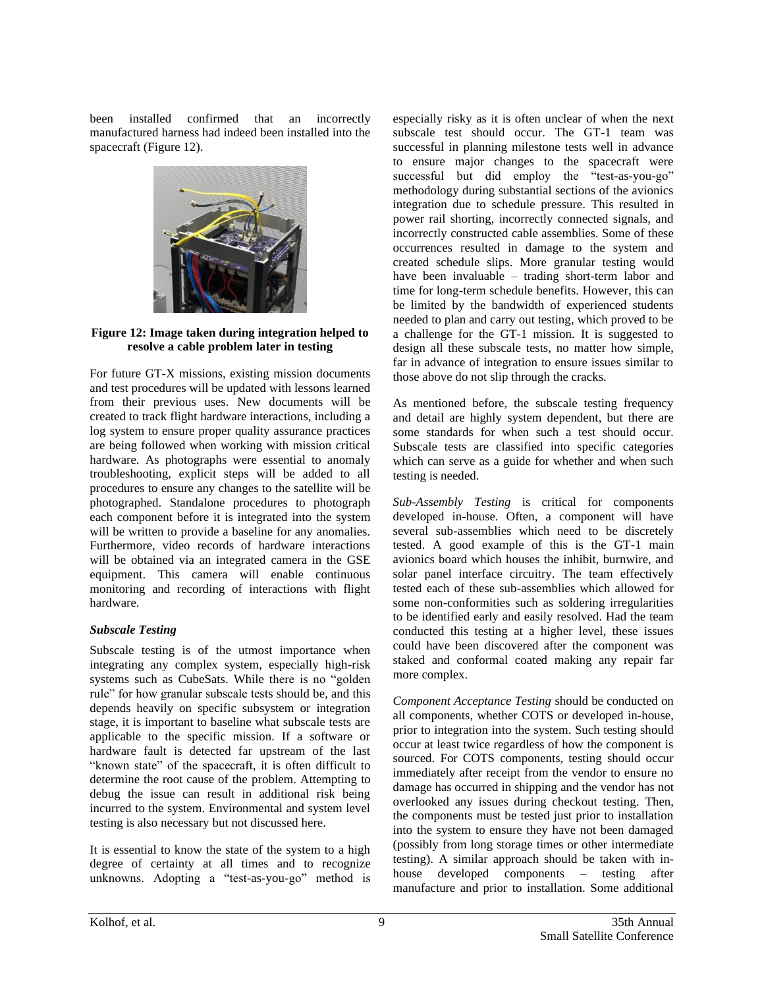been installed confirmed that an incorrectly manufactured harness had indeed been installed into the spacecraft (Figure 12).



### **Figure 12: Image taken during integration helped to resolve a cable problem later in testing**

For future GT-X missions, existing mission documents and test procedures will be updated with lessons learned from their previous uses. New documents will be created to track flight hardware interactions, including a log system to ensure proper quality assurance practices are being followed when working with mission critical hardware. As photographs were essential to anomaly troubleshooting, explicit steps will be added to all procedures to ensure any changes to the satellite will be photographed. Standalone procedures to photograph each component before it is integrated into the system will be written to provide a baseline for any anomalies. Furthermore, video records of hardware interactions will be obtained via an integrated camera in the GSE equipment. This camera will enable continuous monitoring and recording of interactions with flight hardware.

# *Subscale Testing*

Subscale testing is of the utmost importance when integrating any complex system, especially high-risk systems such as CubeSats. While there is no "golden rule" for how granular subscale tests should be, and this depends heavily on specific subsystem or integration stage, it is important to baseline what subscale tests are applicable to the specific mission. If a software or hardware fault is detected far upstream of the last "known state" of the spacecraft, it is often difficult to determine the root cause of the problem. Attempting to debug the issue can result in additional risk being incurred to the system. Environmental and system level testing is also necessary but not discussed here.

It is essential to know the state of the system to a high degree of certainty at all times and to recognize unknowns. Adopting a "test-as-you-go" method is especially risky as it is often unclear of when the next subscale test should occur. The GT-1 team was successful in planning milestone tests well in advance to ensure major changes to the spacecraft were successful but did employ the "test-as-you-go" methodology during substantial sections of the avionics integration due to schedule pressure. This resulted in power rail shorting, incorrectly connected signals, and incorrectly constructed cable assemblies. Some of these occurrences resulted in damage to the system and created schedule slips. More granular testing would have been invaluable – trading short-term labor and time for long-term schedule benefits. However, this can be limited by the bandwidth of experienced students needed to plan and carry out testing, which proved to be a challenge for the GT-1 mission. It is suggested to design all these subscale tests, no matter how simple, far in advance of integration to ensure issues similar to those above do not slip through the cracks.

As mentioned before, the subscale testing frequency and detail are highly system dependent, but there are some standards for when such a test should occur. Subscale tests are classified into specific categories which can serve as a guide for whether and when such testing is needed.

*Sub-Assembly Testing* is critical for components developed in-house. Often, a component will have several sub-assemblies which need to be discretely tested. A good example of this is the GT-1 main avionics board which houses the inhibit, burnwire, and solar panel interface circuitry. The team effectively tested each of these sub-assemblies which allowed for some non-conformities such as soldering irregularities to be identified early and easily resolved. Had the team conducted this testing at a higher level, these issues could have been discovered after the component was staked and conformal coated making any repair far more complex.

*Component Acceptance Testing* should be conducted on all components, whether COTS or developed in-house, prior to integration into the system. Such testing should occur at least twice regardless of how the component is sourced. For COTS components, testing should occur immediately after receipt from the vendor to ensure no damage has occurred in shipping and the vendor has not overlooked any issues during checkout testing. Then, the components must be tested just prior to installation into the system to ensure they have not been damaged (possibly from long storage times or other intermediate testing). A similar approach should be taken with inhouse developed components – testing after manufacture and prior to installation. Some additional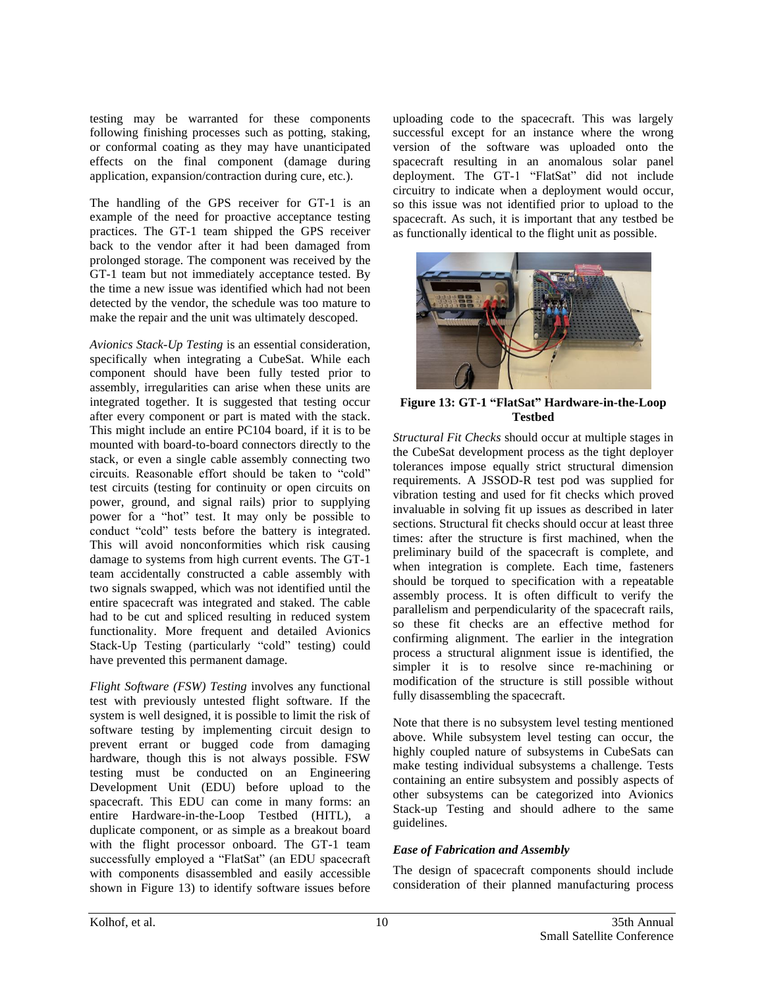testing may be warranted for these components following finishing processes such as potting, staking, or conformal coating as they may have unanticipated effects on the final component (damage during application, expansion/contraction during cure, etc.).

The handling of the GPS receiver for GT-1 is an example of the need for proactive acceptance testing practices. The GT-1 team shipped the GPS receiver back to the vendor after it had been damaged from prolonged storage. The component was received by the GT-1 team but not immediately acceptance tested. By the time a new issue was identified which had not been detected by the vendor, the schedule was too mature to make the repair and the unit was ultimately descoped.

*Avionics Stack-Up Testing* is an essential consideration, specifically when integrating a CubeSat. While each component should have been fully tested prior to assembly, irregularities can arise when these units are integrated together. It is suggested that testing occur after every component or part is mated with the stack. This might include an entire PC104 board, if it is to be mounted with board-to-board connectors directly to the stack, or even a single cable assembly connecting two circuits. Reasonable effort should be taken to "cold" test circuits (testing for continuity or open circuits on power, ground, and signal rails) prior to supplying power for a "hot" test. It may only be possible to conduct "cold" tests before the battery is integrated. This will avoid nonconformities which risk causing damage to systems from high current events. The GT-1 team accidentally constructed a cable assembly with two signals swapped, which was not identified until the entire spacecraft was integrated and staked. The cable had to be cut and spliced resulting in reduced system functionality. More frequent and detailed Avionics Stack-Up Testing (particularly "cold" testing) could have prevented this permanent damage.

*Flight Software (FSW) Testing* involves any functional test with previously untested flight software. If the system is well designed, it is possible to limit the risk of software testing by implementing circuit design to prevent errant or bugged code from damaging hardware, though this is not always possible. FSW testing must be conducted on an Engineering Development Unit (EDU) before upload to the spacecraft. This EDU can come in many forms: an entire Hardware-in-the-Loop Testbed (HITL), a duplicate component, or as simple as a breakout board with the flight processor onboard. The GT-1 team successfully employed a "FlatSat" (an EDU spacecraft with components disassembled and easily accessible shown in Figure 13) to identify software issues before

uploading code to the spacecraft. This was largely successful except for an instance where the wrong version of the software was uploaded onto the spacecraft resulting in an anomalous solar panel deployment. The GT-1 "FlatSat" did not include circuitry to indicate when a deployment would occur, so this issue was not identified prior to upload to the spacecraft. As such, it is important that any testbed be as functionally identical to the flight unit as possible.



**Figure 13: GT-1 "FlatSat" Hardware-in-the-Loop Testbed**

*Structural Fit Checks* should occur at multiple stages in the CubeSat development process as the tight deployer tolerances impose equally strict structural dimension requirements. A JSSOD-R test pod was supplied for vibration testing and used for fit checks which proved invaluable in solving fit up issues as described in later sections. Structural fit checks should occur at least three times: after the structure is first machined, when the preliminary build of the spacecraft is complete, and when integration is complete. Each time, fasteners should be torqued to specification with a repeatable assembly process. It is often difficult to verify the parallelism and perpendicularity of the spacecraft rails, so these fit checks are an effective method for confirming alignment. The earlier in the integration process a structural alignment issue is identified, the simpler it is to resolve since re-machining or modification of the structure is still possible without fully disassembling the spacecraft.

Note that there is no subsystem level testing mentioned above. While subsystem level testing can occur, the highly coupled nature of subsystems in CubeSats can make testing individual subsystems a challenge. Tests containing an entire subsystem and possibly aspects of other subsystems can be categorized into Avionics Stack-up Testing and should adhere to the same guidelines.

# *Ease of Fabrication and Assembly*

The design of spacecraft components should include consideration of their planned manufacturing process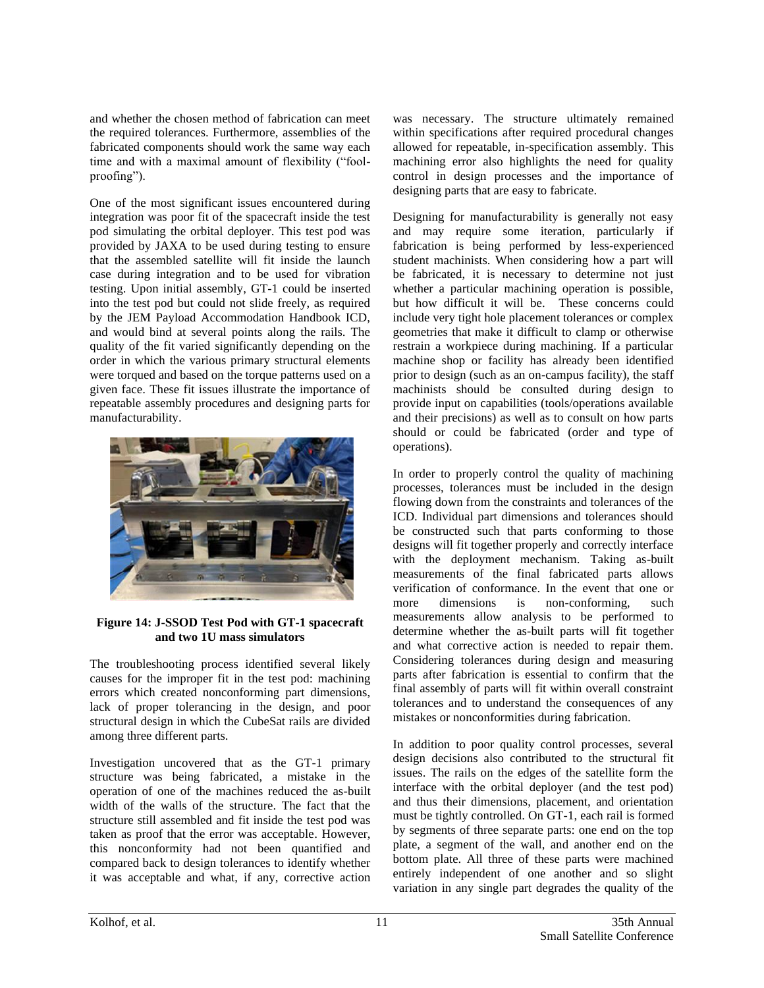and whether the chosen method of fabrication can meet the required tolerances. Furthermore, assemblies of the fabricated components should work the same way each time and with a maximal amount of flexibility ("foolproofing").

One of the most significant issues encountered during integration was poor fit of the spacecraft inside the test pod simulating the orbital deployer. This test pod was provided by JAXA to be used during testing to ensure that the assembled satellite will fit inside the launch case during integration and to be used for vibration testing. Upon initial assembly, GT-1 could be inserted into the test pod but could not slide freely, as required by the JEM Payload Accommodation Handbook ICD, and would bind at several points along the rails. The quality of the fit varied significantly depending on the order in which the various primary structural elements were torqued and based on the torque patterns used on a given face. These fit issues illustrate the importance of repeatable assembly procedures and designing parts for manufacturability.



# **Figure 14: J-SSOD Test Pod with GT-1 spacecraft and two 1U mass simulators**

The troubleshooting process identified several likely causes for the improper fit in the test pod: machining errors which created nonconforming part dimensions, lack of proper tolerancing in the design, and poor structural design in which the CubeSat rails are divided among three different parts.

Investigation uncovered that as the GT-1 primary structure was being fabricated, a mistake in the operation of one of the machines reduced the as-built width of the walls of the structure. The fact that the structure still assembled and fit inside the test pod was taken as proof that the error was acceptable. However, this nonconformity had not been quantified and compared back to design tolerances to identify whether it was acceptable and what, if any, corrective action

was necessary. The structure ultimately remained within specifications after required procedural changes allowed for repeatable, in-specification assembly. This machining error also highlights the need for quality control in design processes and the importance of designing parts that are easy to fabricate.

Designing for manufacturability is generally not easy and may require some iteration, particularly if fabrication is being performed by less-experienced student machinists. When considering how a part will be fabricated, it is necessary to determine not just whether a particular machining operation is possible, but how difficult it will be. These concerns could include very tight hole placement tolerances or complex geometries that make it difficult to clamp or otherwise restrain a workpiece during machining. If a particular machine shop or facility has already been identified prior to design (such as an on-campus facility), the staff machinists should be consulted during design to provide input on capabilities (tools/operations available and their precisions) as well as to consult on how parts should or could be fabricated (order and type of operations).

In order to properly control the quality of machining processes, tolerances must be included in the design flowing down from the constraints and tolerances of the ICD. Individual part dimensions and tolerances should be constructed such that parts conforming to those designs will fit together properly and correctly interface with the deployment mechanism. Taking as-built measurements of the final fabricated parts allows verification of conformance. In the event that one or more dimensions is non-conforming, such measurements allow analysis to be performed to determine whether the as-built parts will fit together and what corrective action is needed to repair them. Considering tolerances during design and measuring parts after fabrication is essential to confirm that the final assembly of parts will fit within overall constraint tolerances and to understand the consequences of any mistakes or nonconformities during fabrication.

In addition to poor quality control processes, several design decisions also contributed to the structural fit issues. The rails on the edges of the satellite form the interface with the orbital deployer (and the test pod) and thus their dimensions, placement, and orientation must be tightly controlled. On GT-1, each rail is formed by segments of three separate parts: one end on the top plate, a segment of the wall, and another end on the bottom plate. All three of these parts were machined entirely independent of one another and so slight variation in any single part degrades the quality of the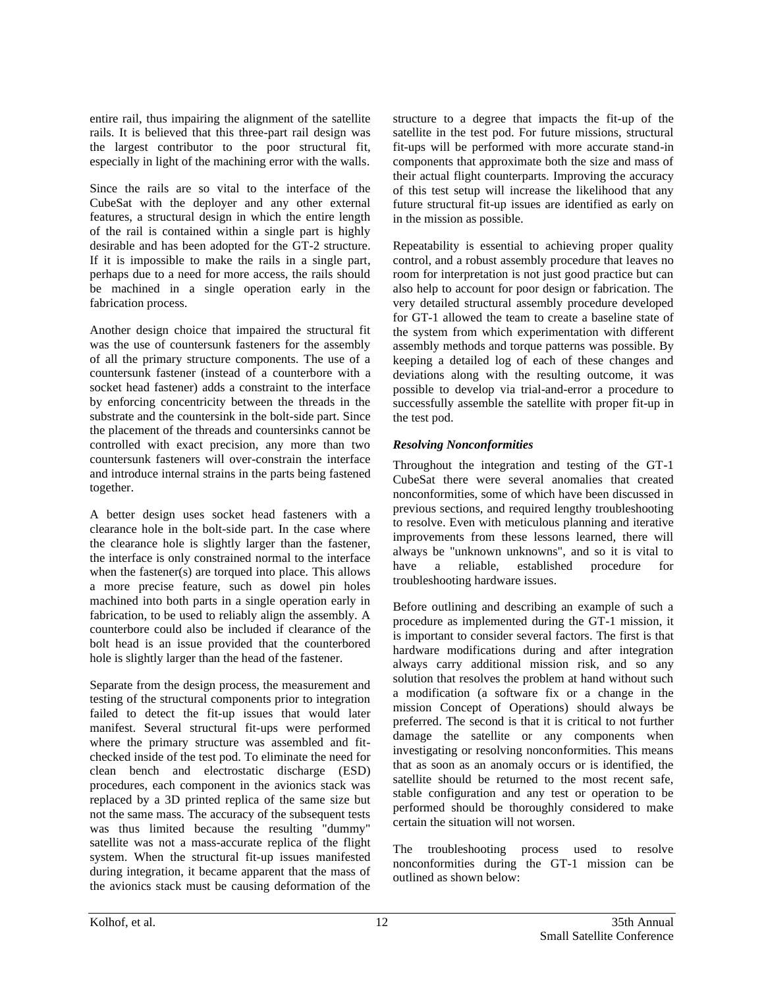entire rail, thus impairing the alignment of the satellite rails. It is believed that this three-part rail design was the largest contributor to the poor structural fit, especially in light of the machining error with the walls.

Since the rails are so vital to the interface of the CubeSat with the deployer and any other external features, a structural design in which the entire length of the rail is contained within a single part is highly desirable and has been adopted for the GT-2 structure. If it is impossible to make the rails in a single part, perhaps due to a need for more access, the rails should be machined in a single operation early in the fabrication process.

Another design choice that impaired the structural fit was the use of countersunk fasteners for the assembly of all the primary structure components. The use of a countersunk fastener (instead of a counterbore with a socket head fastener) adds a constraint to the interface by enforcing concentricity between the threads in the substrate and the countersink in the bolt-side part. Since the placement of the threads and countersinks cannot be controlled with exact precision, any more than two countersunk fasteners will over-constrain the interface and introduce internal strains in the parts being fastened together.

A better design uses socket head fasteners with a clearance hole in the bolt-side part. In the case where the clearance hole is slightly larger than the fastener, the interface is only constrained normal to the interface when the fastener(s) are torqued into place. This allows a more precise feature, such as dowel pin holes machined into both parts in a single operation early in fabrication, to be used to reliably align the assembly. A counterbore could also be included if clearance of the bolt head is an issue provided that the counterbored hole is slightly larger than the head of the fastener.

Separate from the design process, the measurement and testing of the structural components prior to integration failed to detect the fit-up issues that would later manifest. Several structural fit-ups were performed where the primary structure was assembled and fitchecked inside of the test pod. To eliminate the need for clean bench and electrostatic discharge (ESD) procedures, each component in the avionics stack was replaced by a 3D printed replica of the same size but not the same mass. The accuracy of the subsequent tests was thus limited because the resulting "dummy" satellite was not a mass-accurate replica of the flight system. When the structural fit-up issues manifested during integration, it became apparent that the mass of the avionics stack must be causing deformation of the

structure to a degree that impacts the fit-up of the satellite in the test pod. For future missions, structural fit-ups will be performed with more accurate stand-in components that approximate both the size and mass of their actual flight counterparts. Improving the accuracy of this test setup will increase the likelihood that any future structural fit-up issues are identified as early on in the mission as possible.

Repeatability is essential to achieving proper quality control, and a robust assembly procedure that leaves no room for interpretation is not just good practice but can also help to account for poor design or fabrication. The very detailed structural assembly procedure developed for GT-1 allowed the team to create a baseline state of the system from which experimentation with different assembly methods and torque patterns was possible. By keeping a detailed log of each of these changes and deviations along with the resulting outcome, it was possible to develop via trial-and-error a procedure to successfully assemble the satellite with proper fit-up in the test pod.

# *Resolving Nonconformities*

Throughout the integration and testing of the GT-1 CubeSat there were several anomalies that created nonconformities, some of which have been discussed in previous sections, and required lengthy troubleshooting to resolve. Even with meticulous planning and iterative improvements from these lessons learned, there will always be "unknown unknowns", and so it is vital to have a reliable, established procedure for troubleshooting hardware issues.

Before outlining and describing an example of such a procedure as implemented during the GT-1 mission, it is important to consider several factors. The first is that hardware modifications during and after integration always carry additional mission risk, and so any solution that resolves the problem at hand without such a modification (a software fix or a change in the mission Concept of Operations) should always be preferred. The second is that it is critical to not further damage the satellite or any components when investigating or resolving nonconformities. This means that as soon as an anomaly occurs or is identified, the satellite should be returned to the most recent safe, stable configuration and any test or operation to be performed should be thoroughly considered to make certain the situation will not worsen.

The troubleshooting process used to resolve nonconformities during the GT-1 mission can be outlined as shown below: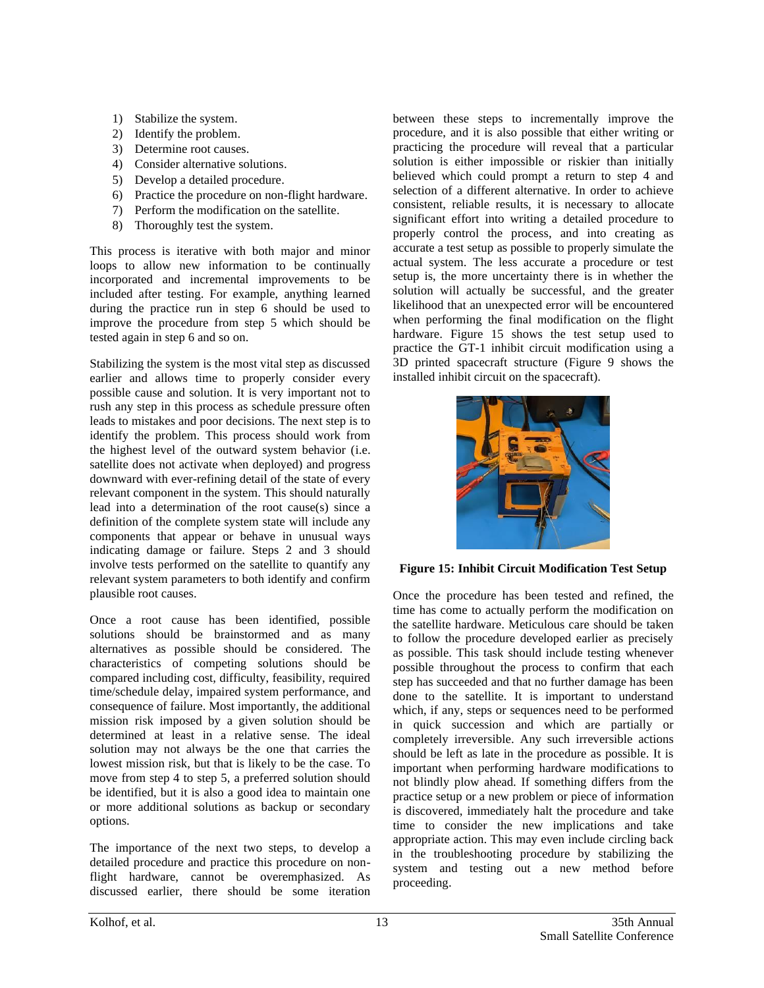- 1) Stabilize the system.
- 2) Identify the problem.
- 3) Determine root causes.
- 4) Consider alternative solutions.
- 5) Develop a detailed procedure.
- 6) Practice the procedure on non-flight hardware.
- 7) Perform the modification on the satellite.
- 8) Thoroughly test the system.

This process is iterative with both major and minor loops to allow new information to be continually incorporated and incremental improvements to be included after testing. For example, anything learned during the practice run in step 6 should be used to improve the procedure from step 5 which should be tested again in step 6 and so on.

Stabilizing the system is the most vital step as discussed earlier and allows time to properly consider every possible cause and solution. It is very important not to rush any step in this process as schedule pressure often leads to mistakes and poor decisions. The next step is to identify the problem. This process should work from the highest level of the outward system behavior (i.e. satellite does not activate when deployed) and progress downward with ever-refining detail of the state of every relevant component in the system. This should naturally lead into a determination of the root cause(s) since a definition of the complete system state will include any components that appear or behave in unusual ways indicating damage or failure. Steps 2 and 3 should involve tests performed on the satellite to quantify any relevant system parameters to both identify and confirm plausible root causes.

Once a root cause has been identified, possible solutions should be brainstormed and as many alternatives as possible should be considered. The characteristics of competing solutions should be compared including cost, difficulty, feasibility, required time/schedule delay, impaired system performance, and consequence of failure. Most importantly, the additional mission risk imposed by a given solution should be determined at least in a relative sense. The ideal solution may not always be the one that carries the lowest mission risk, but that is likely to be the case. To move from step 4 to step 5, a preferred solution should be identified, but it is also a good idea to maintain one or more additional solutions as backup or secondary options.

The importance of the next two steps, to develop a detailed procedure and practice this procedure on nonflight hardware, cannot be overemphasized. As discussed earlier, there should be some iteration

between these steps to incrementally improve the procedure, and it is also possible that either writing or practicing the procedure will reveal that a particular solution is either impossible or riskier than initially believed which could prompt a return to step 4 and selection of a different alternative. In order to achieve consistent, reliable results, it is necessary to allocate significant effort into writing a detailed procedure to properly control the process, and into creating as accurate a test setup as possible to properly simulate the actual system. The less accurate a procedure or test setup is, the more uncertainty there is in whether the solution will actually be successful, and the greater likelihood that an unexpected error will be encountered when performing the final modification on the flight hardware. Figure 15 shows the test setup used to practice the GT-1 inhibit circuit modification using a 3D printed spacecraft structure (Figure 9 shows the installed inhibit circuit on the spacecraft).



### **Figure 15: Inhibit Circuit Modification Test Setup**

Once the procedure has been tested and refined, the time has come to actually perform the modification on the satellite hardware. Meticulous care should be taken to follow the procedure developed earlier as precisely as possible. This task should include testing whenever possible throughout the process to confirm that each step has succeeded and that no further damage has been done to the satellite. It is important to understand which, if any, steps or sequences need to be performed in quick succession and which are partially or completely irreversible. Any such irreversible actions should be left as late in the procedure as possible. It is important when performing hardware modifications to not blindly plow ahead. If something differs from the practice setup or a new problem or piece of information is discovered, immediately halt the procedure and take time to consider the new implications and take appropriate action. This may even include circling back in the troubleshooting procedure by stabilizing the system and testing out a new method before proceeding.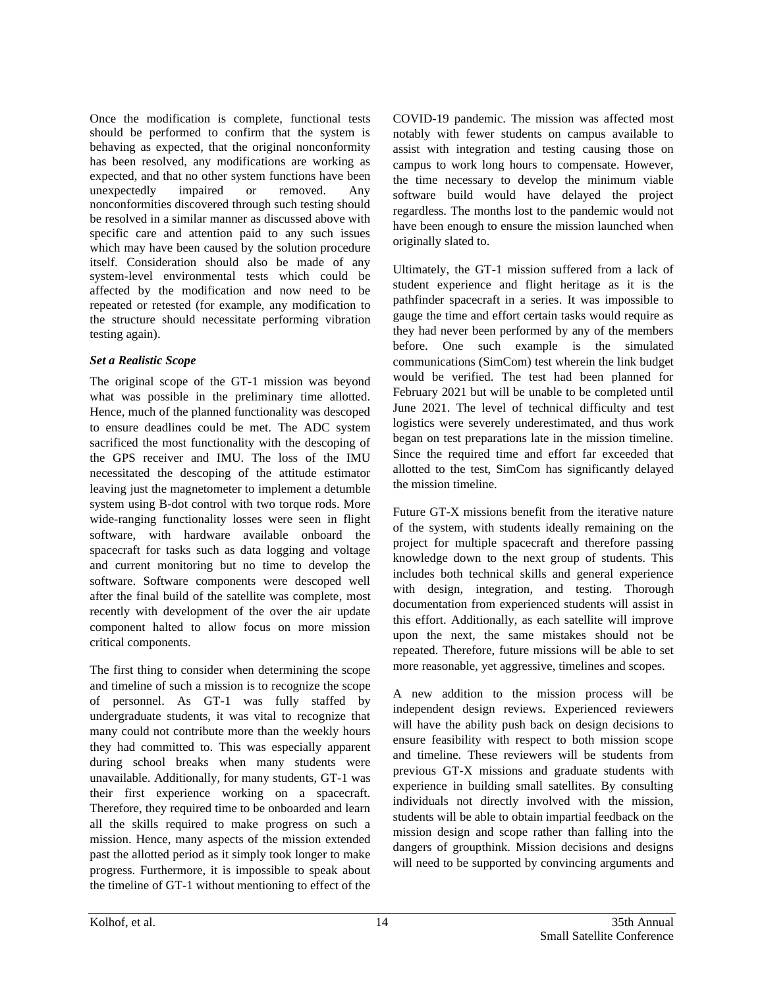Once the modification is complete, functional tests should be performed to confirm that the system is behaving as expected, that the original nonconformity has been resolved, any modifications are working as expected, and that no other system functions have been unexpectedly impaired or removed. Any nonconformities discovered through such testing should be resolved in a similar manner as discussed above with specific care and attention paid to any such issues which may have been caused by the solution procedure itself. Consideration should also be made of any system-level environmental tests which could be affected by the modification and now need to be repeated or retested (for example, any modification to the structure should necessitate performing vibration testing again).

# *Set a Realistic Scope*

The original scope of the GT-1 mission was beyond what was possible in the preliminary time allotted. Hence, much of the planned functionality was descoped to ensure deadlines could be met. The ADC system sacrificed the most functionality with the descoping of the GPS receiver and IMU. The loss of the IMU necessitated the descoping of the attitude estimator leaving just the magnetometer to implement a detumble system using B-dot control with two torque rods. More wide-ranging functionality losses were seen in flight software, with hardware available onboard the spacecraft for tasks such as data logging and voltage and current monitoring but no time to develop the software. Software components were descoped well after the final build of the satellite was complete, most recently with development of the over the air update component halted to allow focus on more mission critical components.

The first thing to consider when determining the scope and timeline of such a mission is to recognize the scope of personnel. As GT-1 was fully staffed by undergraduate students, it was vital to recognize that many could not contribute more than the weekly hours they had committed to. This was especially apparent during school breaks when many students were unavailable. Additionally, for many students, GT-1 was their first experience working on a spacecraft. Therefore, they required time to be onboarded and learn all the skills required to make progress on such a mission. Hence, many aspects of the mission extended past the allotted period as it simply took longer to make progress. Furthermore, it is impossible to speak about the timeline of GT-1 without mentioning to effect of the

COVID-19 pandemic. The mission was affected most notably with fewer students on campus available to assist with integration and testing causing those on campus to work long hours to compensate. However, the time necessary to develop the minimum viable software build would have delayed the project regardless. The months lost to the pandemic would not have been enough to ensure the mission launched when originally slated to.

Ultimately, the GT-1 mission suffered from a lack of student experience and flight heritage as it is the pathfinder spacecraft in a series. It was impossible to gauge the time and effort certain tasks would require as they had never been performed by any of the members before. One such example is the simulated communications (SimCom) test wherein the link budget would be verified. The test had been planned for February 2021 but will be unable to be completed until June 2021. The level of technical difficulty and test logistics were severely underestimated, and thus work began on test preparations late in the mission timeline. Since the required time and effort far exceeded that allotted to the test, SimCom has significantly delayed the mission timeline.

Future GT-X missions benefit from the iterative nature of the system, with students ideally remaining on the project for multiple spacecraft and therefore passing knowledge down to the next group of students. This includes both technical skills and general experience with design, integration, and testing. Thorough documentation from experienced students will assist in this effort. Additionally, as each satellite will improve upon the next, the same mistakes should not be repeated. Therefore, future missions will be able to set more reasonable, yet aggressive, timelines and scopes.

A new addition to the mission process will be independent design reviews. Experienced reviewers will have the ability push back on design decisions to ensure feasibility with respect to both mission scope and timeline. These reviewers will be students from previous GT-X missions and graduate students with experience in building small satellites. By consulting individuals not directly involved with the mission, students will be able to obtain impartial feedback on the mission design and scope rather than falling into the dangers of groupthink. Mission decisions and designs will need to be supported by convincing arguments and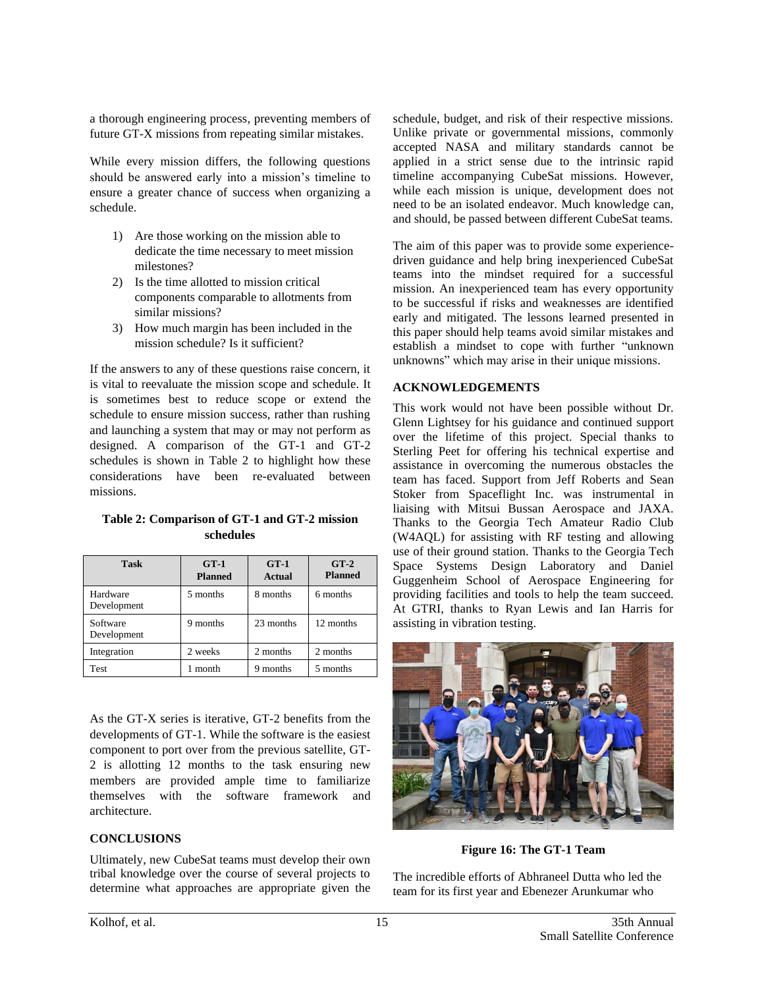a thorough engineering process, preventing members of future GT-X missions from repeating similar mistakes.

While every mission differs, the following questions should be answered early into a mission's timeline to ensure a greater chance of success when organizing a schedule.

- 1) Are those working on the mission able to dedicate the time necessary to meet mission milestones?
- 2) Is the time allotted to mission critical components comparable to allotments from similar missions?
- 3) How much margin has been included in the mission schedule? Is it sufficient?

If the answers to any of these questions raise concern, it is vital to reevaluate the mission scope and schedule. It is sometimes best to reduce scope or extend the schedule to ensure mission success, rather than rushing and launching a system that may or may not perform as designed. A comparison of the GT-1 and GT-2 schedules is shown in Table 2 to highlight how these considerations have been re-evaluated between missions.

### **Table 2: Comparison of GT-1 and GT-2 mission schedules**

| <b>Task</b>             | $G_{T-1}$<br><b>Planned</b> | $GT-1$<br>Actual | $GT-2$<br><b>Planned</b> |
|-------------------------|-----------------------------|------------------|--------------------------|
| Hardware<br>Development | 5 months                    | 8 months         | 6 months                 |
| Software<br>Development | 9 months                    | 23 months        | 12 months                |
| Integration             | 2 weeks                     | 2 months         | 2 months                 |
| Test                    | 1 month                     | 9 months         | 5 months                 |

As the GT-X series is iterative, GT-2 benefits from the developments of GT-1. While the software is the easiest component to port over from the previous satellite, GT-2 is allotting 12 months to the task ensuring new members are provided ample time to familiarize themselves with the software framework and architecture.

### **CONCLUSIONS**

Ultimately, new CubeSat teams must develop their own tribal knowledge over the course of several projects to determine what approaches are appropriate given the

schedule, budget, and risk of their respective missions. Unlike private or governmental missions, commonly accepted NASA and military standards cannot be applied in a strict sense due to the intrinsic rapid timeline accompanying CubeSat missions. However, while each mission is unique, development does not need to be an isolated endeavor. Much knowledge can, and should, be passed between different CubeSat teams.

The aim of this paper was to provide some experiencedriven guidance and help bring inexperienced CubeSat teams into the mindset required for a successful mission. An inexperienced team has every opportunity to be successful if risks and weaknesses are identified early and mitigated. The lessons learned presented in this paper should help teams avoid similar mistakes and establish a mindset to cope with further "unknown unknowns" which may arise in their unique missions.

# **ACKNOWLEDGEMENTS**

This work would not have been possible without Dr. Glenn Lightsey for his guidance and continued support over the lifetime of this project. Special thanks to Sterling Peet for offering his technical expertise and assistance in overcoming the numerous obstacles the team has faced. Support from Jeff Roberts and Sean Stoker from Spaceflight Inc. was instrumental in liaising with Mitsui Bussan Aerospace and JAXA. Thanks to the Georgia Tech Amateur Radio Club (W4AQL) for assisting with RF testing and allowing use of their ground station. Thanks to the Georgia Tech Space Systems Design Laboratory and Daniel Guggenheim School of Aerospace Engineering for providing facilities and tools to help the team succeed. At GTRI, thanks to Ryan Lewis and Ian Harris for assisting in vibration testing.



**Figure 16: The GT-1 Team**

The incredible efforts of Abhraneel Dutta who led the team for its first year and Ebenezer Arunkumar who